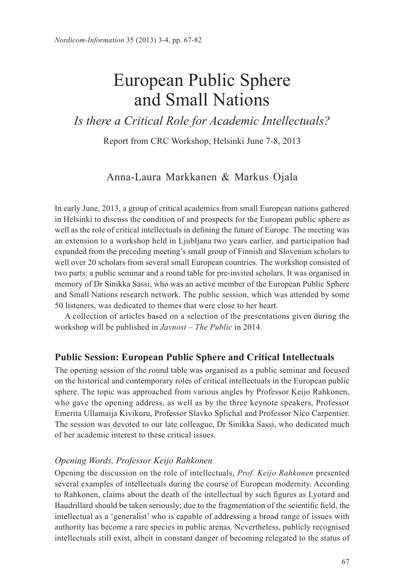# European Public Sphere and Small Nations

# *Is there a Critical Role for Academic Intellectuals?*

Report from CRC Workshop, Helsinki June 7-8, 2013

## Anna-Laura Markkanen & Markus Ojala

In early June, 2013, a group of critical academics from small European nations gathered in Helsinki to discuss the condition of and prospects for the European public sphere as well as the role of critical intellectuals in defining the future of Europe. The meeting was an extension to a workshop held in Ljubljana two years earlier, and participation had expanded from the preceding meeting's small group of Finnish and Slovenian scholars to well over 20 scholars from several small European countries. The workshop consisted of two parts: a public seminar and a round table for pre-invited scholars. It was organised in memory of Dr Sinikka Sassi, who was an active member of the European Public Sphere and Small Nations research network. The public session, which was attended by some 50 listeners, was dedicated to themes that were close to her heart.

A collection of articles based on a selection of the presentations given during the workshop will be published in *Javnost – The Public* in 2014.

#### **Public Session: European Public Sphere and Critical Intellectuals**

The opening session of the round table was organised as a public seminar and focused on the historical and contemporary roles of critical intellectuals in the European public sphere. The topic was approached from various angles by Professor Keijo Rahkonen, who gave the opening address, as well as by the three keynote speakers, Professor Emerita Ullamaija Kivikuru, Professor Slavko Splichal and Professor Nico Carpentier. The session was devoted to our late colleague, Dr Sinikka Sassi, who dedicated much of her academic interest to these critical issues.

#### *Opening Words, Professor Keijo Rahkonen*

Opening the discussion on the role of intellectuals, *Prof. Keijo Rahkonen* presented several examples of intellectuals during the course of European modernity. According to Rahkonen, claims about the death of the intellectual by such figures as Lyotard and Baudrillard should be taken seriously; due to the fragmentation of the scientific field, the intellectual as a 'generalist' who is capable of addressing a broad range of issues with authority has become a rare species in public arenas. Nevertheless, publicly recognised intellectuals still exist, albeit in constant danger of becoming relegated to the status of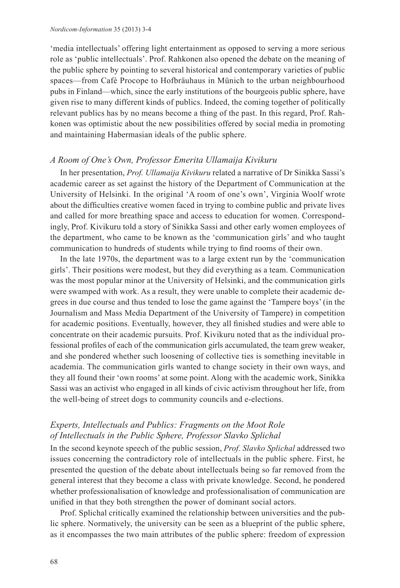'media intellectuals' offering light entertainment as opposed to serving a more serious role as 'public intellectuals'. Prof. Rahkonen also opened the debate on the meaning of the public sphere by pointing to several historical and contemporary varieties of public spaces—from Café Procope to Hofbräuhaus in Münich to the urban neighbourhood pubs in Finland—which, since the early institutions of the bourgeois public sphere, have given rise to many different kinds of publics. Indeed, the coming together of politically relevant publics has by no means become a thing of the past. In this regard, Prof. Rahkonen was optimistic about the new possibilities offered by social media in promoting and maintaining Habermasian ideals of the public sphere.

#### *A Room of One's Own, Professor Emerita Ullamaija Kivikuru*

In her presentation, *Prof. Ullamaija Kivikuru* related a narrative of Dr Sinikka Sassi's academic career as set against the history of the Department of Communication at the University of Helsinki. In the original 'A room of one's own', Virginia Woolf wrote about the difficulties creative women faced in trying to combine public and private lives and called for more breathing space and access to education for women. Correspondingly, Prof. Kivikuru told a story of Sinikka Sassi and other early women employees of the department, who came to be known as the 'communication girls' and who taught communication to hundreds of students while trying to find rooms of their own.

In the late 1970s, the department was to a large extent run by the 'communication girls'. Their positions were modest, but they did everything as a team. Communication was the most popular minor at the University of Helsinki, and the communication girls were swamped with work. As a result, they were unable to complete their academic degrees in due course and thus tended to lose the game against the 'Tampere boys' (in the Journalism and Mass Media Department of the University of Tampere) in competition for academic positions. Eventually, however, they all finished studies and were able to concentrate on their academic pursuits. Prof. Kivikuru noted that as the individual professional profiles of each of the communication girls accumulated, the team grew weaker, and she pondered whether such loosening of collective ties is something inevitable in academia. The communication girls wanted to change society in their own ways, and they all found their 'own rooms' at some point. Along with the academic work, Sinikka Sassi was an activist who engaged in all kinds of civic activism throughout her life, from the well-being of street dogs to community councils and e-elections.

#### *Experts, Intellectuals and Publics: Fragments on the Moot Role of Intellectuals in the Public Sphere, Professor Slavko Splichal*

In the second keynote speech of the public session, *Prof. Slavko Splichal* addressed two issues concerning the contradictory role of intellectuals in the public sphere. First, he presented the question of the debate about intellectuals being so far removed from the general interest that they become a class with private knowledge. Second, he pondered whether professionalisation of knowledge and professionalisation of communication are unified in that they both strengthen the power of dominant social actors.

Prof. Splichal critically examined the relationship between universities and the public sphere. Normatively, the university can be seen as a blueprint of the public sphere, as it encompasses the two main attributes of the public sphere: freedom of expression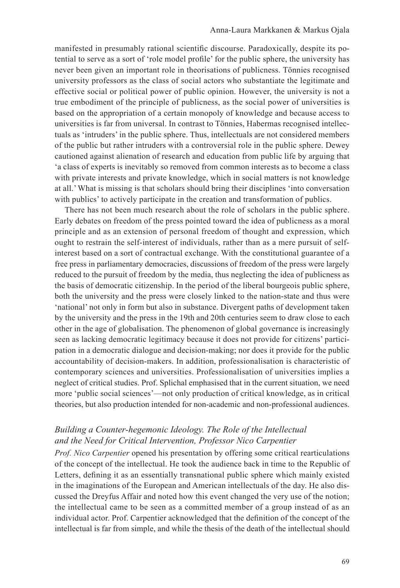manifested in presumably rational scientific discourse. Paradoxically, despite its potential to serve as a sort of 'role model profile' for the public sphere, the university has never been given an important role in theorisations of publicness. Tönnies recognised university professors as the class of social actors who substantiate the legitimate and effective social or political power of public opinion. However, the university is not a true embodiment of the principle of publicness, as the social power of universities is based on the appropriation of a certain monopoly of knowledge and because access to universities is far from universal. In contrast to Tönnies, Habermas recognised intellectuals as 'intruders' in the public sphere. Thus, intellectuals are not considered members of the public but rather intruders with a controversial role in the public sphere. Dewey cautioned against alienation of research and education from public life by arguing that 'a class of experts is inevitably so removed from common interests as to become a class with private interests and private knowledge, which in social matters is not knowledge at all.' What is missing is that scholars should bring their disciplines 'into conversation with publics' to actively participate in the creation and transformation of publics.

There has not been much research about the role of scholars in the public sphere. Early debates on freedom of the press pointed toward the idea of publicness as a moral principle and as an extension of personal freedom of thought and expression, which ought to restrain the self-interest of individuals, rather than as a mere pursuit of selfinterest based on a sort of contractual exchange. With the constitutional guarantee of a free press in parliamentary democracies, discussions of freedom of the press were largely reduced to the pursuit of freedom by the media, thus neglecting the idea of publicness as the basis of democratic citizenship. In the period of the liberal bourgeois public sphere, both the university and the press were closely linked to the nation-state and thus were 'national' not only in form but also in substance. Divergent paths of development taken by the university and the press in the 19th and 20th centuries seem to draw close to each other in the age of globalisation. The phenomenon of global governance is increasingly seen as lacking democratic legitimacy because it does not provide for citizens' participation in a democratic dialogue and decision-making; nor does it provide for the public accountability of decision-makers. In addition, professionalisation is characteristic of contemporary sciences and universities. Professionalisation of universities implies a neglect of critical studies. Prof. Splichal emphasised that in the current situation, we need more 'public social sciences'—not only production of critical knowledge, as in critical theories, but also production intended for non-academic and non-professional audiences.

#### *Building a Counter-hegemonic Ideology. The Role of the Intellectual and the Need for Critical Intervention, Professor Nico Carpentier*

*Prof. Nico Carpentier* opened his presentation by offering some critical rearticulations of the concept of the intellectual. He took the audience back in time to the Republic of Letters, defining it as an essentially transnational public sphere which mainly existed in the imaginations of the European and American intellectuals of the day. He also discussed the Dreyfus Affair and noted how this event changed the very use of the notion; the intellectual came to be seen as a committed member of a group instead of as an individual actor. Prof. Carpentier acknowledged that the definition of the concept of the intellectual is far from simple, and while the thesis of the death of the intellectual should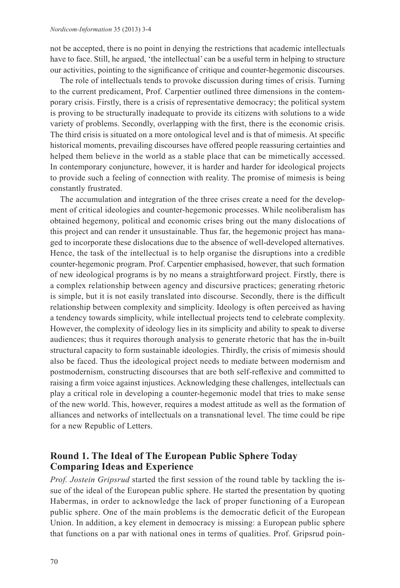not be accepted, there is no point in denying the restrictions that academic intellectuals have to face. Still, he argued, 'the intellectual' can be a useful term in helping to structure our activities, pointing to the significance of critique and counter-hegemonic discourses.

The role of intellectuals tends to provoke discussion during times of crisis. Turning to the current predicament, Prof. Carpentier outlined three dimensions in the contemporary crisis. Firstly, there is a crisis of representative democracy; the political system is proving to be structurally inadequate to provide its citizens with solutions to a wide variety of problems. Secondly, overlapping with the first, there is the economic crisis. The third crisis is situated on a more ontological level and is that of mimesis. At specific historical moments, prevailing discourses have offered people reassuring certainties and helped them believe in the world as a stable place that can be mimetically accessed. In contemporary conjuncture, however, it is harder and harder for ideological projects to provide such a feeling of connection with reality. The promise of mimesis is being constantly frustrated.

The accumulation and integration of the three crises create a need for the development of critical ideologies and counter-hegemonic processes. While neoliberalism has obtained hegemony, political and economic crises bring out the many dislocations of this project and can render it unsustainable. Thus far, the hegemonic project has managed to incorporate these dislocations due to the absence of well-developed alternatives. Hence, the task of the intellectual is to help organise the disruptions into a credible counter-hegemonic program. Prof. Carpentier emphasised, however, that such formation of new ideological programs is by no means a straightforward project. Firstly, there is a complex relationship between agency and discursive practices; generating rhetoric is simple, but it is not easily translated into discourse. Secondly, there is the difficult relationship between complexity and simplicity. Ideology is often perceived as having a tendency towards simplicity, while intellectual projects tend to celebrate complexity. However, the complexity of ideology lies in its simplicity and ability to speak to diverse audiences; thus it requires thorough analysis to generate rhetoric that has the in-built structural capacity to form sustainable ideologies. Thirdly, the crisis of mimesis should also be faced. Thus the ideological project needs to mediate between modernism and postmodernism, constructing discourses that are both self-reflexive and committed to raising a firm voice against injustices. Acknowledging these challenges, intellectuals can play a critical role in developing a counter-hegemonic model that tries to make sense of the new world. This, however, requires a modest attitude as well as the formation of alliances and networks of intellectuals on a transnational level. The time could be ripe for a new Republic of Letters.

## **Round 1. The Ideal of The European Public Sphere Today Comparing Ideas and Experience**

*Prof. Jostein Gripsrud* started the first session of the round table by tackling the issue of the ideal of the European public sphere. He started the presentation by quoting Habermas, in order to acknowledge the lack of proper functioning of a European public sphere. One of the main problems is the democratic deficit of the European Union. In addition, a key element in democracy is missing: a European public sphere that functions on a par with national ones in terms of qualities. Prof. Gripsrud poin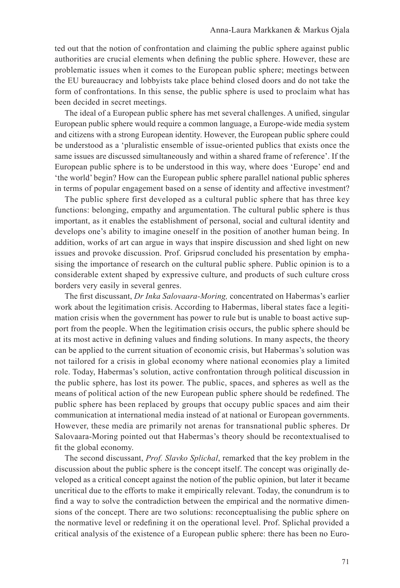ted out that the notion of confrontation and claiming the public sphere against public authorities are crucial elements when defining the public sphere. However, these are problematic issues when it comes to the European public sphere; meetings between the EU bureaucracy and lobbyists take place behind closed doors and do not take the form of confrontations. In this sense, the public sphere is used to proclaim what has been decided in secret meetings.

The ideal of a European public sphere has met several challenges. A unified, singular European public sphere would require a common language, a Europe-wide media system and citizens with a strong European identity. However, the European public sphere could be understood as a 'pluralistic ensemble of issue-oriented publics that exists once the same issues are discussed simultaneously and within a shared frame of reference'. If the European public sphere is to be understood in this way, where does 'Europe' end and 'the world' begin? How can the European public sphere parallel national public spheres in terms of popular engagement based on a sense of identity and affective investment?

The public sphere first developed as a cultural public sphere that has three key functions: belonging, empathy and argumentation. The cultural public sphere is thus important, as it enables the establishment of personal, social and cultural identity and develops one's ability to imagine oneself in the position of another human being. In addition, works of art can argue in ways that inspire discussion and shed light on new issues and provoke discussion. Prof. Gripsrud concluded his presentation by emphasising the importance of research on the cultural public sphere. Public opinion is to a considerable extent shaped by expressive culture, and products of such culture cross borders very easily in several genres.

The first discussant, *Dr Inka Salovaara-Moring,* concentrated on Habermas's earlier work about the legitimation crisis. According to Habermas, liberal states face a legitimation crisis when the government has power to rule but is unable to boast active support from the people. When the legitimation crisis occurs, the public sphere should be at its most active in defining values and finding solutions. In many aspects, the theory can be applied to the current situation of economic crisis, but Habermas's solution was not tailored for a crisis in global economy where national economies play a limited role. Today, Habermas's solution, active confrontation through political discussion in the public sphere, has lost its power. The public, spaces, and spheres as well as the means of political action of the new European public sphere should be redefined. The public sphere has been replaced by groups that occupy public spaces and aim their communication at international media instead of at national or European governments. However, these media are primarily not arenas for transnational public spheres. Dr Salovaara-Moring pointed out that Habermas's theory should be recontextualised to fit the global economy.

The second discussant, *Prof. Slavko Splichal*, remarked that the key problem in the discussion about the public sphere is the concept itself. The concept was originally developed as a critical concept against the notion of the public opinion, but later it became uncritical due to the efforts to make it empirically relevant. Today, the conundrum is to find a way to solve the contradiction between the empirical and the normative dimensions of the concept. There are two solutions: reconceptualising the public sphere on the normative level or redefining it on the operational level. Prof. Splichal provided a critical analysis of the existence of a European public sphere: there has been no Euro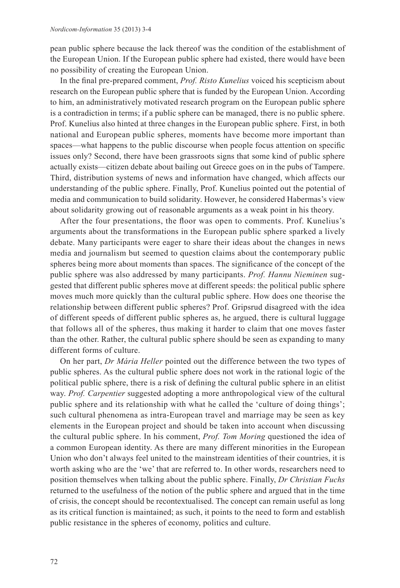pean public sphere because the lack thereof was the condition of the establishment of the European Union. If the European public sphere had existed, there would have been no possibility of creating the European Union.

In the final pre-prepared comment, *Prof. Risto Kunelius* voiced his scepticism about research on the European public sphere that is funded by the European Union. According to him, an administratively motivated research program on the European public sphere is a contradiction in terms; if a public sphere can be managed, there is no public sphere. Prof. Kunelius also hinted at three changes in the European public sphere. First, in both national and European public spheres, moments have become more important than spaces—what happens to the public discourse when people focus attention on specific issues only? Second, there have been grassroots signs that some kind of public sphere actually exists—citizen debate about bailing out Greece goes on in the pubs of Tampere. Third, distribution systems of news and information have changed, which affects our understanding of the public sphere. Finally, Prof. Kunelius pointed out the potential of media and communication to build solidarity. However, he considered Habermas's view about solidarity growing out of reasonable arguments as a weak point in his theory.

After the four presentations, the floor was open to comments. Prof. Kunelius's arguments about the transformations in the European public sphere sparked a lively debate. Many participants were eager to share their ideas about the changes in news media and journalism but seemed to question claims about the contemporary public spheres being more about moments than spaces. The significance of the concept of the public sphere was also addressed by many participants. *Prof. Hannu Nieminen* suggested that different public spheres move at different speeds: the political public sphere moves much more quickly than the cultural public sphere. How does one theorise the relationship between different public spheres? Prof. Gripsrud disagreed with the idea of different speeds of different public spheres as, he argued, there is cultural luggage that follows all of the spheres, thus making it harder to claim that one moves faster than the other. Rather, the cultural public sphere should be seen as expanding to many different forms of culture.

On her part, *Dr Mária Heller* pointed out the difference between the two types of public spheres. As the cultural public sphere does not work in the rational logic of the political public sphere, there is a risk of defining the cultural public sphere in an elitist way. *Prof. Carpentier* suggested adopting a more anthropological view of the cultural public sphere and its relationship with what he called the 'culture of doing things'; such cultural phenomena as intra-European travel and marriage may be seen as key elements in the European project and should be taken into account when discussing the cultural public sphere. In his comment, *Prof. Tom Moring* questioned the idea of a common European identity. As there are many different minorities in the European Union who don't always feel united to the mainstream identities of their countries, it is worth asking who are the 'we' that are referred to. In other words, researchers need to position themselves when talking about the public sphere. Finally, *Dr Christian Fuchs* returned to the usefulness of the notion of the public sphere and argued that in the time of crisis, the concept should be recontextualised. The concept can remain useful as long as its critical function is maintained; as such, it points to the need to form and establish public resistance in the spheres of economy, politics and culture.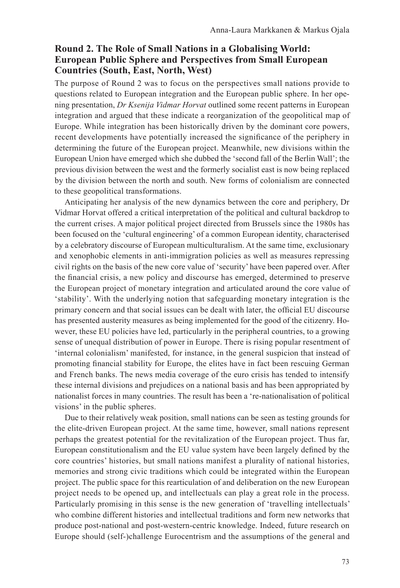## **Round 2. The Role of Small Nations in a Globalising World: European Public Sphere and Perspectives from Small European Countries (South, East, North, West)**

The purpose of Round 2 was to focus on the perspectives small nations provide to questions related to European integration and the European public sphere. In her opening presentation, *Dr Ksenija Vidmar Horvat* outlined some recent patterns in European integration and argued that these indicate a reorganization of the geopolitical map of Europe. While integration has been historically driven by the dominant core powers, recent developments have potentially increased the significance of the periphery in determining the future of the European project. Meanwhile, new divisions within the European Union have emerged which she dubbed the 'second fall of the Berlin Wall'; the previous division between the west and the formerly socialist east is now being replaced by the division between the north and south. New forms of colonialism are connected to these geopolitical transformations.

Anticipating her analysis of the new dynamics between the core and periphery, Dr Vidmar Horvat offered a critical interpretation of the political and cultural backdrop to the current crises. A major political project directed from Brussels since the 1980s has been focused on the 'cultural engineering' of a common European identity, characterised by a celebratory discourse of European multiculturalism. At the same time, exclusionary and xenophobic elements in anti-immigration policies as well as measures repressing civil rights on the basis of the new core value of 'security' have been papered over. After the financial crisis, a new policy and discourse has emerged, determined to preserve the European project of monetary integration and articulated around the core value of 'stability'. With the underlying notion that safeguarding monetary integration is the primary concern and that social issues can be dealt with later, the official EU discourse has presented austerity measures as being implemented for the good of the citizenry. However, these EU policies have led, particularly in the peripheral countries, to a growing sense of unequal distribution of power in Europe. There is rising popular resentment of 'internal colonialism' manifested, for instance, in the general suspicion that instead of promoting financial stability for Europe, the elites have in fact been rescuing German and French banks. The news media coverage of the euro crisis has tended to intensify these internal divisions and prejudices on a national basis and has been appropriated by nationalist forces in many countries. The result has been a 're-nationalisation of political visions' in the public spheres.

Due to their relatively weak position, small nations can be seen as testing grounds for the elite-driven European project. At the same time, however, small nations represent perhaps the greatest potential for the revitalization of the European project. Thus far, European constitutionalism and the EU value system have been largely defined by the core countries' histories, but small nations manifest a plurality of national histories, memories and strong civic traditions which could be integrated within the European project. The public space for this rearticulation of and deliberation on the new European project needs to be opened up, and intellectuals can play a great role in the process. Particularly promising in this sense is the new generation of 'travelling intellectuals' who combine different histories and intellectual traditions and form new networks that produce post-national and post-western-centric knowledge. Indeed, future research on Europe should (self-)challenge Eurocentrism and the assumptions of the general and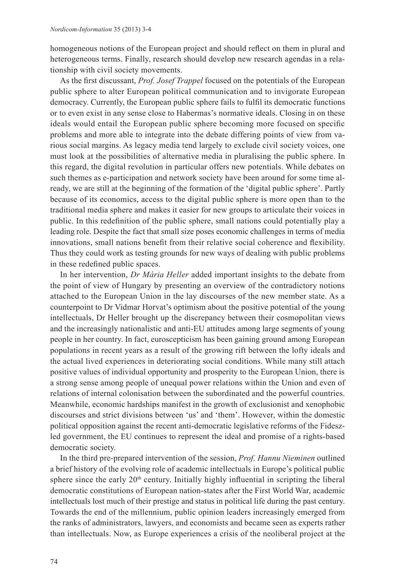homogeneous notions of the European project and should reflect on them in plural and heterogeneous terms. Finally, research should develop new research agendas in a relationship with civil society movements.

As the first discussant, *Prof. Josef Trappel* focused on the potentials of the European public sphere to alter European political communication and to invigorate European democracy. Currently, the European public sphere fails to fulfil its democratic functions or to even exist in any sense close to Habermas's normative ideals. Closing in on these ideals would entail the European public sphere becoming more focused on specific problems and more able to integrate into the debate differing points of view from various social margins. As legacy media tend largely to exclude civil society voices, one must look at the possibilities of alternative media in pluralising the public sphere. In this regard, the digital revolution in particular offers new potentials. While debates on such themes as e-participation and network society have been around for some time already, we are still at the beginning of the formation of the 'digital public sphere'. Partly because of its economics, access to the digital public sphere is more open than to the traditional media sphere and makes it easier for new groups to articulate their voices in public. In this redefinition of the public sphere, small nations could potentially play a leading role. Despite the fact that small size poses economic challenges in terms of media innovations, small nations benefit from their relative social coherence and flexibility. Thus they could work as testing grounds for new ways of dealing with public problems in these redefined public spaces.

In her intervention, *Dr Mária Heller* added important insights to the debate from the point of view of Hungary by presenting an overview of the contradictory notions attached to the European Union in the lay discourses of the new member state. As a counterpoint to Dr Vidmar Horvat's optimism about the positive potential of the young intellectuals, Dr Heller brought up the discrepancy between their cosmopolitan views and the increasingly nationalistic and anti-EU attitudes among large segments of young people in her country. In fact, euroscepticism has been gaining ground among European populations in recent years as a result of the growing rift between the lofty ideals and the actual lived experiences in deteriorating social conditions. While many still attach positive values of individual opportunity and prosperity to the European Union, there is a strong sense among people of unequal power relations within the Union and even of relations of internal colonisation between the subordinated and the powerful countries. Meanwhile, economic hardships manifest in the growth of exclusionist and xenophobic discourses and strict divisions between 'us' and 'them'. However, within the domestic political opposition against the recent anti-democratic legislative reforms of the Fideszled government, the EU continues to represent the ideal and promise of a rights-based democratic society.

In the third pre-prepared intervention of the session, *Prof. Hannu Nieminen* outlined a brief history of the evolving role of academic intellectuals in Europe's political public sphere since the early  $20<sup>th</sup>$  century. Initially highly influential in scripting the liberal democratic constitutions of European nation-states after the First World War, academic intellectuals lost much of their prestige and status in political life during the past century. Towards the end of the millennium, public opinion leaders increasingly emerged from the ranks of administrators, lawyers, and economists and became seen as experts rather than intellectuals. Now, as Europe experiences a crisis of the neoliberal project at the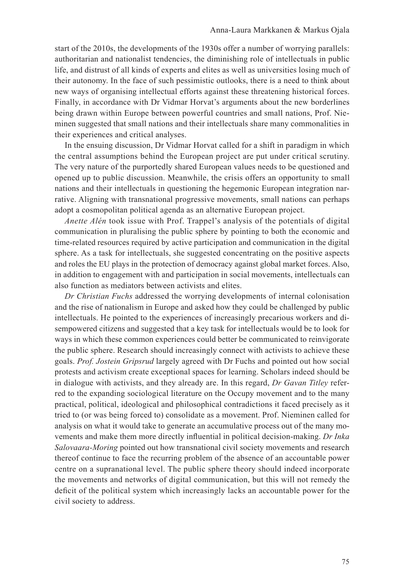start of the 2010s, the developments of the 1930s offer a number of worrying parallels: authoritarian and nationalist tendencies, the diminishing role of intellectuals in public life, and distrust of all kinds of experts and elites as well as universities losing much of their autonomy. In the face of such pessimistic outlooks, there is a need to think about new ways of organising intellectual efforts against these threatening historical forces. Finally, in accordance with Dr Vidmar Horvat's arguments about the new borderlines being drawn within Europe between powerful countries and small nations, Prof. Nieminen suggested that small nations and their intellectuals share many commonalities in their experiences and critical analyses.

In the ensuing discussion, Dr Vidmar Horvat called for a shift in paradigm in which the central assumptions behind the European project are put under critical scrutiny. The very nature of the purportedly shared European values needs to be questioned and opened up to public discussion. Meanwhile, the crisis offers an opportunity to small nations and their intellectuals in questioning the hegemonic European integration narrative. Aligning with transnational progressive movements, small nations can perhaps adopt a cosmopolitan political agenda as an alternative European project.

*Anette Alén* took issue with Prof. Trappel's analysis of the potentials of digital communication in pluralising the public sphere by pointing to both the economic and time-related resources required by active participation and communication in the digital sphere. As a task for intellectuals, she suggested concentrating on the positive aspects and roles the EU plays in the protection of democracy against global market forces. Also, in addition to engagement with and participation in social movements, intellectuals can also function as mediators between activists and elites.

*Dr Christian Fuchs* addressed the worrying developments of internal colonisation and the rise of nationalism in Europe and asked how they could be challenged by public intellectuals. He pointed to the experiences of increasingly precarious workers and disempowered citizens and suggested that a key task for intellectuals would be to look for ways in which these common experiences could better be communicated to reinvigorate the public sphere. Research should increasingly connect with activists to achieve these goals. *Prof. Jostein Gripsrud* largely agreed with Dr Fuchs and pointed out how social protests and activism create exceptional spaces for learning. Scholars indeed should be in dialogue with activists, and they already are. In this regard, *Dr Gavan Titley* referred to the expanding sociological literature on the Occupy movement and to the many practical, political, ideological and philosophical contradictions it faced precisely as it tried to (or was being forced to) consolidate as a movement. Prof. Nieminen called for analysis on what it would take to generate an accumulative process out of the many movements and make them more directly influential in political decision-making. *Dr Inka Salovaara-Moring* pointed out how transnational civil society movements and research thereof continue to face the recurring problem of the absence of an accountable power centre on a supranational level. The public sphere theory should indeed incorporate the movements and networks of digital communication, but this will not remedy the deficit of the political system which increasingly lacks an accountable power for the civil society to address.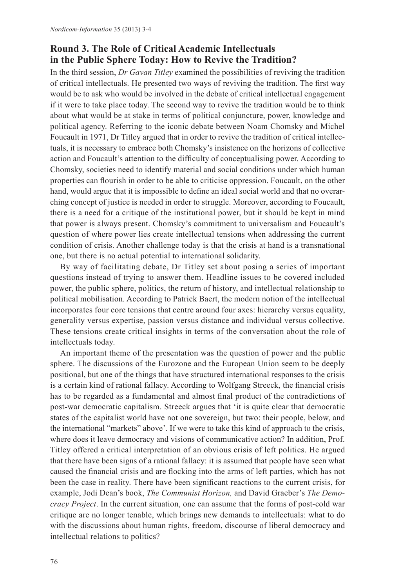## **Round 3. The Role of Critical Academic Intellectuals in the Public Sphere Today: How to Revive the Tradition?**

In the third session, *Dr Gavan Titley* examined the possibilities of reviving the tradition of critical intellectuals. He presented two ways of reviving the tradition. The first way would be to ask who would be involved in the debate of critical intellectual engagement if it were to take place today. The second way to revive the tradition would be to think about what would be at stake in terms of political conjuncture, power, knowledge and political agency. Referring to the iconic debate between Noam Chomsky and Michel Foucault in 1971, Dr Titley argued that in order to revive the tradition of critical intellectuals, it is necessary to embrace both Chomsky's insistence on the horizons of collective action and Foucault's attention to the difficulty of conceptualising power. According to Chomsky, societies need to identify material and social conditions under which human properties can flourish in order to be able to criticise oppression. Foucault, on the other hand, would argue that it is impossible to define an ideal social world and that no overarching concept of justice is needed in order to struggle. Moreover, according to Foucault, there is a need for a critique of the institutional power, but it should be kept in mind that power is always present. Chomsky's commitment to universalism and Foucault's question of where power lies create intellectual tensions when addressing the current condition of crisis. Another challenge today is that the crisis at hand is a transnational one, but there is no actual potential to international solidarity.

By way of facilitating debate, Dr Titley set about posing a series of important questions instead of trying to answer them. Headline issues to be covered included power, the public sphere, politics, the return of history, and intellectual relationship to political mobilisation. According to Patrick Baert, the modern notion of the intellectual incorporates four core tensions that centre around four axes: hierarchy versus equality, generality versus expertise, passion versus distance and individual versus collective. These tensions create critical insights in terms of the conversation about the role of intellectuals today.

An important theme of the presentation was the question of power and the public sphere. The discussions of the Eurozone and the European Union seem to be deeply positional, but one of the things that have structured international responses to the crisis is a certain kind of rational fallacy. According to Wolfgang Streeck, the financial crisis has to be regarded as a fundamental and almost final product of the contradictions of post-war democratic capitalism. Streeck argues that 'it is quite clear that democratic states of the capitalist world have not one sovereign, but two: their people, below, and the international "markets" above'. If we were to take this kind of approach to the crisis, where does it leave democracy and visions of communicative action? In addition, Prof. Titley offered a critical interpretation of an obvious crisis of left politics. He argued that there have been signs of a rational fallacy: it is assumed that people have seen what caused the financial crisis and are flocking into the arms of left parties, which has not been the case in reality. There have been significant reactions to the current crisis, for example, Jodi Dean's book, *The Communist Horizon,* and David Graeber's *The Democracy Project*. In the current situation, one can assume that the forms of post-cold war critique are no longer tenable, which brings new demands to intellectuals: what to do with the discussions about human rights, freedom, discourse of liberal democracy and intellectual relations to politics?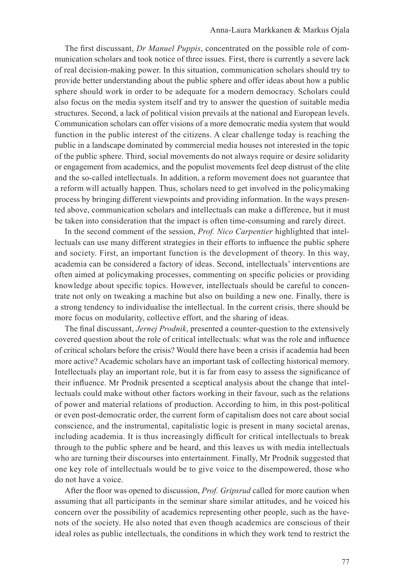The first discussant, *Dr Manuel Puppis*, concentrated on the possible role of communication scholars and took notice of three issues. First, there is currently a severe lack of real decision-making power. In this situation, communication scholars should try to provide better understanding about the public sphere and offer ideas about how a public sphere should work in order to be adequate for a modern democracy. Scholars could also focus on the media system itself and try to answer the question of suitable media structures. Second, a lack of political vision prevails at the national and European levels. Communication scholars can offer visions of a more democratic media system that would function in the public interest of the citizens. A clear challenge today is reaching the public in a landscape dominated by commercial media houses not interested in the topic of the public sphere. Third, social movements do not always require or desire solidarity or engagement from academics, and the populist movements feel deep distrust of the elite and the so-called intellectuals. In addition, a reform movement does not guarantee that a reform will actually happen. Thus, scholars need to get involved in the policymaking process by bringing different viewpoints and providing information. In the ways presented above, communication scholars and intellectuals can make a difference, but it must be taken into consideration that the impact is often time-consuming and rarely direct.

In the second comment of the session, *Prof. Nico Carpentier* highlighted that intellectuals can use many different strategies in their efforts to influence the public sphere and society. First, an important function is the development of theory. In this way, academia can be considered a factory of ideas. Second, intellectuals' interventions are often aimed at policymaking processes, commenting on specific policies or providing knowledge about specific topics. However, intellectuals should be careful to concentrate not only on tweaking a machine but also on building a new one. Finally, there is a strong tendency to individualise the intellectual. In the current crisis, there should be more focus on modularity, collective effort, and the sharing of ideas.

The final discussant, *Jernej Prodnik*, presented a counter-question to the extensively covered question about the role of critical intellectuals: what was the role and influence of critical scholars before the crisis? Would there have been a crisis if academia had been more active? Academic scholars have an important task of collecting historical memory. Intellectuals play an important role, but it is far from easy to assess the significance of their influence. Mr Prodnik presented a sceptical analysis about the change that intellectuals could make without other factors working in their favour, such as the relations of power and material relations of production. According to him, in this post-political or even post-democratic order, the current form of capitalism does not care about social conscience, and the instrumental, capitalistic logic is present in many societal arenas, including academia. It is thus increasingly difficult for critical intellectuals to break through to the public sphere and be heard, and this leaves us with media intellectuals who are turning their discourses into entertainment. Finally, Mr Prodnik suggested that one key role of intellectuals would be to give voice to the disempowered, those who do not have a voice.

After the floor was opened to discussion, *Prof. Gripsrud* called for more caution when assuming that all participants in the seminar share similar attitudes, and he voiced his concern over the possibility of academics representing other people, such as the havenots of the society. He also noted that even though academics are conscious of their ideal roles as public intellectuals, the conditions in which they work tend to restrict the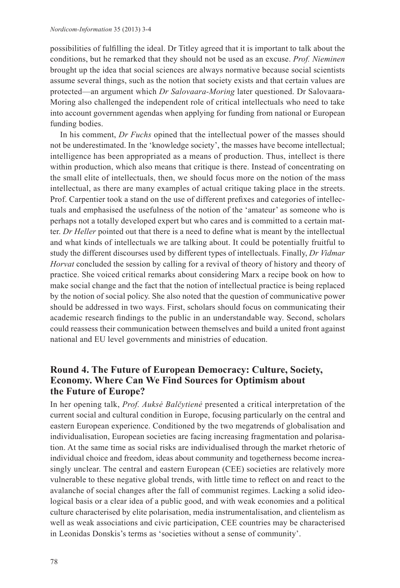possibilities of fulfilling the ideal. Dr Titley agreed that it is important to talk about the conditions, but he remarked that they should not be used as an excuse. *Prof. Nieminen* brought up the idea that social sciences are always normative because social scientists assume several things, such as the notion that society exists and that certain values are protected—an argument which *Dr Salovaara-Moring* later questioned. Dr Salovaara-Moring also challenged the independent role of critical intellectuals who need to take into account government agendas when applying for funding from national or European funding bodies.

In his comment, *Dr Fuchs* opined that the intellectual power of the masses should not be underestimated. In the 'knowledge society', the masses have become intellectual; intelligence has been appropriated as a means of production. Thus, intellect is there within production, which also means that critique is there. Instead of concentrating on the small elite of intellectuals, then, we should focus more on the notion of the mass intellectual, as there are many examples of actual critique taking place in the streets. Prof. Carpentier took a stand on the use of different prefixes and categories of intellectuals and emphasised the usefulness of the notion of the 'amateur' as someone who is perhaps not a totally developed expert but who cares and is committed to a certain matter. *Dr Heller* pointed out that there is a need to define what is meant by the intellectual and what kinds of intellectuals we are talking about. It could be potentially fruitful to study the different discourses used by different types of intellectuals. Finally, *Dr Vidmar Horvat* concluded the session by calling for a revival of theory of history and theory of practice. She voiced critical remarks about considering Marx a recipe book on how to make social change and the fact that the notion of intellectual practice is being replaced by the notion of social policy. She also noted that the question of communicative power should be addressed in two ways. First, scholars should focus on communicating their academic research findings to the public in an understandable way. Second, scholars could reassess their communication between themselves and build a united front against national and EU level governments and ministries of education.

## **Round 4. The Future of European Democracy: Culture, Society, Economy. Where Can We Find Sources for Optimism about the Future of Europe?**

In her opening talk, *Prof. Auksė Balčytienė* presented a critical interpretation of the current social and cultural condition in Europe, focusing particularly on the central and eastern European experience. Conditioned by the two megatrends of globalisation and individualisation, European societies are facing increasing fragmentation and polarisation. At the same time as social risks are individualised through the market rhetoric of individual choice and freedom, ideas about community and togetherness become increasingly unclear. The central and eastern European (CEE) societies are relatively more vulnerable to these negative global trends, with little time to reflect on and react to the avalanche of social changes after the fall of communist regimes. Lacking a solid ideological basis or a clear idea of a public good, and with weak economies and a political culture characterised by elite polarisation, media instrumentalisation, and clientelism as well as weak associations and civic participation, CEE countries may be characterised in Leonidas Donskis's terms as 'societies without a sense of community'.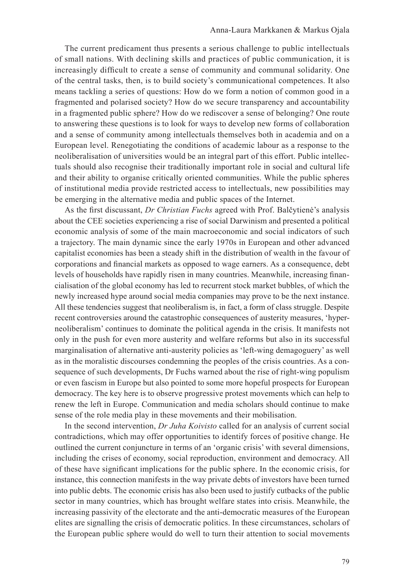The current predicament thus presents a serious challenge to public intellectuals of small nations. With declining skills and practices of public communication, it is increasingly difficult to create a sense of community and communal solidarity. One of the central tasks, then, is to build society's communicational competences. It also means tackling a series of questions: How do we form a notion of common good in a fragmented and polarised society? How do we secure transparency and accountability in a fragmented public sphere? How do we rediscover a sense of belonging? One route to answering these questions is to look for ways to develop new forms of collaboration and a sense of community among intellectuals themselves both in academia and on a European level. Renegotiating the conditions of academic labour as a response to the neoliberalisation of universities would be an integral part of this effort. Public intellectuals should also recognise their traditionally important role in social and cultural life and their ability to organise critically oriented communities. While the public spheres of institutional media provide restricted access to intellectuals, new possibilities may be emerging in the alternative media and public spaces of the Internet.

As the first discussant, *Dr Christian Fuchs* agreed with Prof. Balčytienė's analysis about the CEE societies experiencing a rise of social Darwinism and presented a political economic analysis of some of the main macroeconomic and social indicators of such a trajectory. The main dynamic since the early 1970s in European and other advanced capitalist economies has been a steady shift in the distribution of wealth in the favour of corporations and financial markets as opposed to wage earners. As a consequence, debt levels of households have rapidly risen in many countries. Meanwhile, increasing financialisation of the global economy has led to recurrent stock market bubbles, of which the newly increased hype around social media companies may prove to be the next instance. All these tendencies suggest that neoliberalism is, in fact, a form of class struggle. Despite recent controversies around the catastrophic consequences of austerity measures, 'hyperneoliberalism' continues to dominate the political agenda in the crisis. It manifests not only in the push for even more austerity and welfare reforms but also in its successful marginalisation of alternative anti-austerity policies as 'left-wing demagoguery' as well as in the moralistic discourses condemning the peoples of the crisis countries. As a consequence of such developments, Dr Fuchs warned about the rise of right-wing populism or even fascism in Europe but also pointed to some more hopeful prospects for European democracy. The key here is to observe progressive protest movements which can help to renew the left in Europe. Communication and media scholars should continue to make sense of the role media play in these movements and their mobilisation.

In the second intervention, *Dr Juha Koivisto* called for an analysis of current social contradictions, which may offer opportunities to identify forces of positive change. He outlined the current conjuncture in terms of an 'organic crisis' with several dimensions, including the crises of economy, social reproduction, environment and democracy. All of these have significant implications for the public sphere. In the economic crisis, for instance, this connection manifests in the way private debts of investors have been turned into public debts. The economic crisis has also been used to justify cutbacks of the public sector in many countries, which has brought welfare states into crisis. Meanwhile, the increasing passivity of the electorate and the anti-democratic measures of the European elites are signalling the crisis of democratic politics. In these circumstances, scholars of the European public sphere would do well to turn their attention to social movements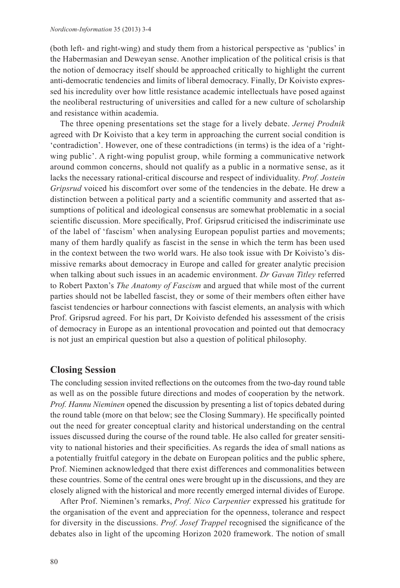(both left- and right-wing) and study them from a historical perspective as 'publics' in the Habermasian and Deweyan sense. Another implication of the political crisis is that the notion of democracy itself should be approached critically to highlight the current anti-democratic tendencies and limits of liberal democracy. Finally, Dr Koivisto expressed his incredulity over how little resistance academic intellectuals have posed against the neoliberal restructuring of universities and called for a new culture of scholarship and resistance within academia.

The three opening presentations set the stage for a lively debate. *Jernej Prodnik* agreed with Dr Koivisto that a key term in approaching the current social condition is 'contradiction'. However, one of these contradictions (in terms) is the idea of a 'rightwing public'. A right-wing populist group, while forming a communicative network around common concerns, should not qualify as a public in a normative sense, as it lacks the necessary rational-critical discourse and respect of individuality. *Prof. Jostein Gripsrud* voiced his discomfort over some of the tendencies in the debate. He drew a distinction between a political party and a scientific community and asserted that assumptions of political and ideological consensus are somewhat problematic in a social scientific discussion. More specifically, Prof. Gripsrud criticised the indiscriminate use of the label of 'fascism' when analysing European populist parties and movements; many of them hardly qualify as fascist in the sense in which the term has been used in the context between the two world wars. He also took issue with Dr Koivisto's dismissive remarks about democracy in Europe and called for greater analytic precision when talking about such issues in an academic environment. *Dr Gavan Titley* referred to Robert Paxton's *The Anatomy of Fascism* and argued that while most of the current parties should not be labelled fascist, they or some of their members often either have fascist tendencies or harbour connections with fascist elements, an analysis with which Prof. Gripsrud agreed. For his part, Dr Koivisto defended his assessment of the crisis of democracy in Europe as an intentional provocation and pointed out that democracy is not just an empirical question but also a question of political philosophy.

#### **Closing Session**

The concluding session invited reflections on the outcomes from the two-day round table as well as on the possible future directions and modes of cooperation by the network. *Prof. Hannu Nieminen* opened the discussion by presenting a list of topics debated during the round table (more on that below; see the Closing Summary). He specifically pointed out the need for greater conceptual clarity and historical understanding on the central issues discussed during the course of the round table. He also called for greater sensitivity to national histories and their specificities. As regards the idea of small nations as a potentially fruitful category in the debate on European politics and the public sphere, Prof. Nieminen acknowledged that there exist differences and commonalities between these countries. Some of the central ones were brought up in the discussions, and they are closely aligned with the historical and more recently emerged internal divides of Europe.

After Prof. Nieminen's remarks, *Prof. Nico Carpentier* expressed his gratitude for the organisation of the event and appreciation for the openness, tolerance and respect for diversity in the discussions. *Prof. Josef Trappel* recognised the significance of the debates also in light of the upcoming Horizon 2020 framework. The notion of small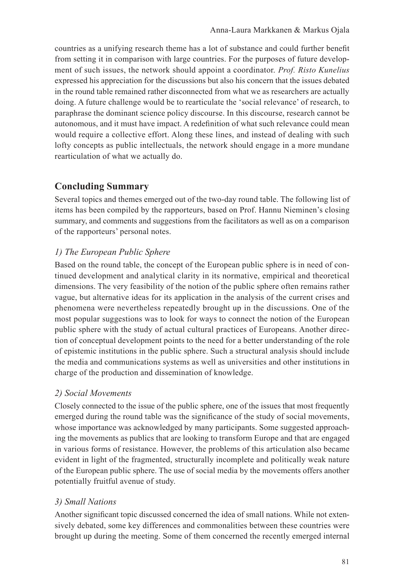countries as a unifying research theme has a lot of substance and could further benefit from setting it in comparison with large countries. For the purposes of future development of such issues, the network should appoint a coordinator. *Prof. Risto Kunelius* expressed his appreciation for the discussions but also his concern that the issues debated in the round table remained rather disconnected from what we as researchers are actually doing. A future challenge would be to rearticulate the 'social relevance' of research, to paraphrase the dominant science policy discourse. In this discourse, research cannot be autonomous, and it must have impact. A redefinition of what such relevance could mean would require a collective effort. Along these lines, and instead of dealing with such lofty concepts as public intellectuals, the network should engage in a more mundane rearticulation of what we actually do.

# **Concluding Summary**

Several topics and themes emerged out of the two-day round table. The following list of items has been compiled by the rapporteurs, based on Prof. Hannu Nieminen's closing summary, and comments and suggestions from the facilitators as well as on a comparison of the rapporteurs' personal notes.

# *1) The European Public Sphere*

Based on the round table, the concept of the European public sphere is in need of continued development and analytical clarity in its normative, empirical and theoretical dimensions. The very feasibility of the notion of the public sphere often remains rather vague, but alternative ideas for its application in the analysis of the current crises and phenomena were nevertheless repeatedly brought up in the discussions. One of the most popular suggestions was to look for ways to connect the notion of the European public sphere with the study of actual cultural practices of Europeans. Another direction of conceptual development points to the need for a better understanding of the role of epistemic institutions in the public sphere. Such a structural analysis should include the media and communications systems as well as universities and other institutions in charge of the production and dissemination of knowledge.

## *2) Social Movements*

Closely connected to the issue of the public sphere, one of the issues that most frequently emerged during the round table was the significance of the study of social movements, whose importance was acknowledged by many participants. Some suggested approaching the movements as publics that are looking to transform Europe and that are engaged in various forms of resistance. However, the problems of this articulation also became evident in light of the fragmented, structurally incomplete and politically weak nature of the European public sphere. The use of social media by the movements offers another potentially fruitful avenue of study.

## *3) Small Nations*

Another significant topic discussed concerned the idea of small nations. While not extensively debated, some key differences and commonalities between these countries were brought up during the meeting. Some of them concerned the recently emerged internal